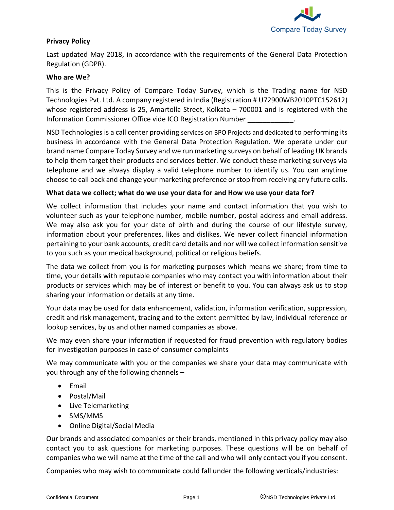

## **Privacy Policy**

Last updated May 2018, in accordance with the requirements of the General Data Protection Regulation (GDPR).

#### **Who are We?**

This is the Privacy Policy of Compare Today Survey, which is the Trading name for NSD Technologies Pvt. Ltd. A company registered in India (Registration # U72900WB2010PTC152612) whose registered address is 25, Amartolla Street, Kolkata – 700001 and is registered with the Information Commissioner Office vide ICO Registration Number \_\_\_\_\_\_\_\_\_\_\_\_.

NSD Technologies is a call center providing services on BPO Projects and dedicated to performing its business in accordance with the General Data Protection Regulation. We operate under our brand name Compare Today Survey and we run marketing surveys on behalf of leading UK brands to help them target their products and services better. We conduct these marketing surveys via telephone and we always display a valid telephone number to identify us. You can anytime choose to call back and change your marketing preference or stop from receiving any future calls.

#### **What data we collect; what do we use your data for and How we use your data for?**

We collect information that includes your name and contact information that you wish to volunteer such as your telephone number, mobile number, postal address and email address. We may also ask you for your date of birth and during the course of our lifestyle survey, information about your preferences, likes and dislikes. We never collect financial information pertaining to your bank accounts, credit card details and nor will we collect information sensitive to you such as your medical background, political or religious beliefs.

The data we collect from you is for marketing purposes which means we share; from time to time, your details with reputable companies who may contact you with information about their products or services which may be of interest or benefit to you. You can always ask us to stop sharing your information or details at any time.

Your data may be used for data enhancement, validation, information verification, suppression, credit and risk management, tracing and to the extent permitted by law, individual reference or lookup services, by us and other named companies as above.

We may even share your information if requested for fraud prevention with regulatory bodies for investigation purposes in case of consumer complaints

We may communicate with you or the companies we share your data may communicate with you through any of the following channels –

- Email
- Postal/Mail
- Live Telemarketing
- SMS/MMS
- Online Digital/Social Media

Our brands and associated companies or their brands, mentioned in this privacy policy may also contact you to ask questions for marketing purposes. These questions will be on behalf of companies who we will name at the time of the call and who will only contact you if you consent.

Companies who may wish to communicate could fall under the following verticals/industries: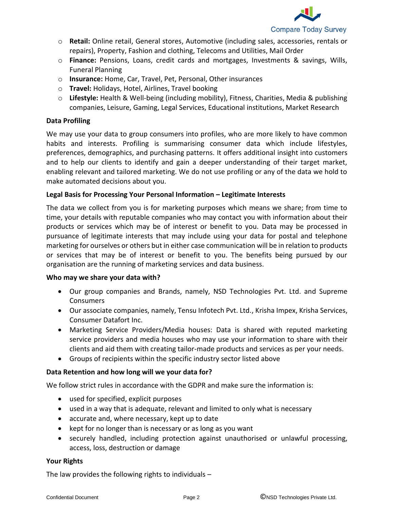

- o **Retail:** Online retail, General stores, Automotive (including sales, accessories, rentals or repairs), Property, Fashion and clothing, Telecoms and Utilities, Mail Order
- o **Finance:** Pensions, Loans, credit cards and mortgages, Investments & savings, Wills, Funeral Planning
- o **Insurance:** Home, Car, Travel, Pet, Personal, Other insurances
- o **Travel:** Holidays, Hotel, Airlines, Travel booking
- o **Lifestyle:** Health & Well-being (including mobility), Fitness, Charities, Media & publishing companies, Leisure, Gaming, Legal Services, Educational institutions, Market Research

# **Data Profiling**

We may use your data to group consumers into profiles, who are more likely to have common habits and interests. Profiling is summarising consumer data which include lifestyles, preferences, demographics, and purchasing patterns. It offers additional insight into customers and to help our clients to identify and gain a deeper understanding of their target market, enabling relevant and tailored marketing. We do not use profiling or any of the data we hold to make automated decisions about you.

## **Legal Basis for Processing Your Personal Information – Legitimate Interests**

The data we collect from you is for marketing purposes which means we share; from time to time, your details with reputable companies who may contact you with information about their products or services which may be of interest or benefit to you. Data may be processed in pursuance of legitimate interests that may include using your data for postal and telephone marketing for ourselves or others but in either case communication will be in relation to products or services that may be of interest or benefit to you. The benefits being pursued by our organisation are the running of marketing services and data business.

## **Who may we share your data with?**

- Our group companies and Brands, namely, NSD Technologies Pvt. Ltd. and Supreme Consumers
- Our associate companies, namely, Tensu Infotech Pvt. Ltd., Krisha Impex, Krisha Services, Consumer Datafort Inc.
- Marketing Service Providers/Media houses: Data is shared with reputed marketing service providers and media houses who may use your information to share with their clients and aid them with creating tailor-made products and services as per your needs.
- Groups of recipients within the specific industry sector listed above

## **Data Retention and how long will we your data for?**

We follow strict rules in accordance with the GDPR and make sure the information is:

- used for specified, explicit purposes
- used in a way that is adequate, relevant and limited to only what is necessary
- accurate and, where necessary, kept up to date
- kept for no longer than is necessary or as long as you want
- securely handled, including protection against unauthorised or unlawful processing, access, loss, destruction or damage

## **Your Rights**

The law provides the following rights to individuals –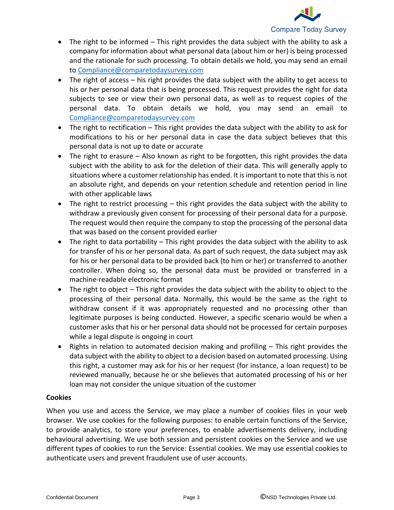

- The right to be informed This right provides the data subject with the ability to ask a company for information about what personal data (about him or her) is being processed and the rationale for such processing. To obtain details we hold, you may send an email to [Compliance@comparetodaysurvey.com](mailto:Compliance@comparetodaysurvey.com)
- The right of access his right provides the data subject with the ability to get access to his or her personal data that is being processed. This request provides the right for data subjects to see or view their own personal data, as well as to request copies of the personal data. To obtain details we hold, you may send an email to [Compliance@comparetodaysurvey.com](mailto:Compliance@comparetodaysurvey.com)
- The right to rectification This right provides the data subject with the ability to ask for modifications to his or her personal data in case the data subject believes that this personal data is not up to date or accurate
- The right to erasure Also known as right to be forgotten, this right provides the data subject with the ability to ask for the deletion of their data. This will generally apply to situations where a customer relationship has ended. It is important to note that this is not an absolute right, and depends on your retention schedule and retention period in line with other applicable laws
- The right to restrict processing this right provides the data subject with the ability to withdraw a previously given consent for processing of their personal data for a purpose. The request would then require the company to stop the processing of the personal data that was based on the consent provided earlier
- The right to data portability This right provides the data subject with the ability to ask for transfer of his or her personal data. As part of such request, the data subject may ask for his or her personal data to be provided back (to him or her) or transferred to another controller. When doing so, the personal data must be provided or transferred in a machine-readable electronic format
- The right to object This right provides the data subject with the ability to object to the processing of their personal data. Normally, this would be the same as the right to withdraw consent if it was appropriately requested and no processing other than legitimate purposes is being conducted. However, a specific scenario would be when a customer asks that his or her personal data should not be processed for certain purposes while a legal dispute is ongoing in court
- Rights in relation to automated decision making and profiling This right provides the data subject with the ability to object to a decision based on automated processing. Using this right, a customer may ask for his or her request (for instance, a loan request) to be reviewed manually, because he or she believes that automated processing of his or her loan may not consider the unique situation of the customer

## **Cookies**

When you use and access the Service, we may place a number of cookies files in your web browser. We use cookies for the following purposes: to enable certain functions of the Service, to provide analytics, to store your preferences, to enable advertisements delivery, including behavioural advertising. We use both session and persistent cookies on the Service and we use different types of cookies to run the Service: Essential cookies. We may use essential cookies to authenticate users and prevent fraudulent use of user accounts.